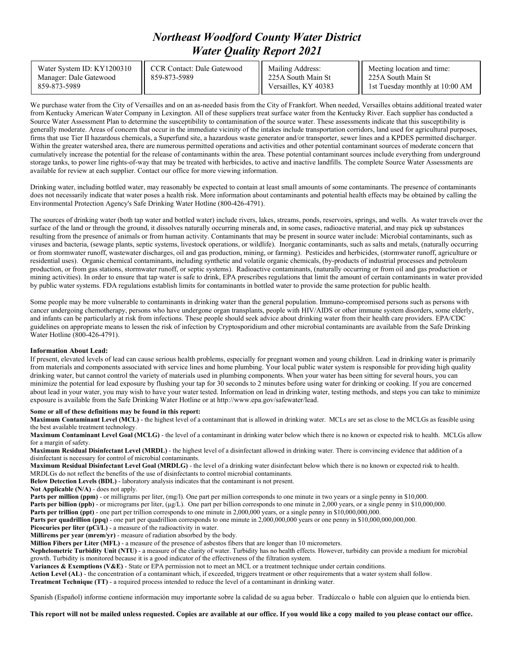## *Northeast Woodford County Water District Water Quality Report 2021*

| Water System ID: KY1200310<br>Manager: Dale Gatewood<br>859-873-5989 | CCR Contact: Dale Gatewood<br>859-873-5989 | Mailing Address:<br>225A South Main St<br>Versailles, KY 40383 | Meeting location and time:<br>225A South Main St<br>1st Tuesday monthly at 10:00 AM |
|----------------------------------------------------------------------|--------------------------------------------|----------------------------------------------------------------|-------------------------------------------------------------------------------------|
|----------------------------------------------------------------------|--------------------------------------------|----------------------------------------------------------------|-------------------------------------------------------------------------------------|

We purchase water from the City of Versailles and on an as-needed basis from the City of Frankfort. When needed, Versailles obtains additional treated water from Kentucky American Water Company in Lexington. All of these suppliers treat surface water from the Kentucky River. Each supplier has conducted a Source Water Assessment Plan to determine the susceptibility to contamination of the source water. These assessments indicate that this susceptibility is generally moderate. Areas of concern that occur in the immediate vicinity of the intakes include transportation corridors, land used for agricultural purposes, firms that use Tier II hazardous chemicals, a Superfund site, a hazardous waste generator and/or transporter, sewer lines and a KPDES permitted discharger. Within the greater watershed area, there are numerous permitted operations and activities and other potential contaminant sources of moderate concern that cumulatively increase the potential for the release of contaminants within the area. These potential contaminant sources include everything from underground storage tanks, to power line rights-of-way that may be treated with herbicides, to active and inactive landfills. The complete Source Water Assessments are available for review at each supplier. Contact our office for more viewing information.

Drinking water, including bottled water, may reasonably be expected to contain at least small amounts of some contaminants. The presence of contaminants does not necessarily indicate that water poses a health risk. More information about contaminants and potential health effects may be obtained by calling the Environmental Protection Agency's Safe Drinking Water Hotline (800-426-4791).

The sources of drinking water (both tap water and bottled water) include rivers, lakes, streams, ponds, reservoirs, springs, and wells. As water travels over the surface of the land or through the ground, it dissolves naturally occurring minerals and, in some cases, radioactive material, and may pick up substances resulting from the presence of animals or from human activity. Contaminants that may be present in source water include: Microbial contaminants, such as viruses and bacteria, (sewage plants, septic systems, livestock operations, or wildlife). Inorganic contaminants, such as salts and metals, (naturally occurring or from stormwater runoff, wastewater discharges, oil and gas production, mining, or farming). Pesticides and herbicides, (stormwater runoff, agriculture or residential uses). Organic chemical contaminants, including synthetic and volatile organic chemicals, (by-products of industrial processes and petroleum production, or from gas stations, stormwater runoff, or septic systems). Radioactive contaminants, (naturally occurring or from oil and gas production or mining activities). In order to ensure that tap water is safe to drink, EPA prescribes regulations that limit the amount of certain contaminants in water provided by public water systems. FDA regulations establish limits for contaminants in bottled water to provide the same protection for public health.

Some people may be more vulnerable to contaminants in drinking water than the general population. Immuno-compromised persons such as persons with cancer undergoing chemotherapy, persons who have undergone organ transplants, people with HIV/AIDS or other immune system disorders, some elderly, and infants can be particularly at risk from infections. These people should seek advice about drinking water from their health care providers. EPA/CDC guidelines on appropriate means to lessen the risk of infection by Cryptosporidium and other microbial contaminants are available from the Safe Drinking Water Hotline (800-426-4791).

## **Information About Lead:**

If present, elevated levels of lead can cause serious health problems, especially for pregnant women and young children. Lead in drinking water is primarily from materials and components associated with service lines and home plumbing. Your local public water system is responsible for providing high quality drinking water, but cannot control the variety of materials used in plumbing components. When your water has been sitting for several hours, you can minimize the potential for lead exposure by flushing your tap for 30 seconds to 2 minutes before using water for drinking or cooking. If you are concerned about lead in your water, you may wish to have your water tested. Information on lead in drinking water, testing methods, and steps you can take to minimize exposure is available from the Safe Drinking Water Hotline or at http://www.epa.gov/safewater/lead.

## **Some or all of these definitions may be found in this report:**

**Maximum Contaminant Level (MCL)** - the highest level of a contaminant that is allowed in drinking water. MCLs are set as close to the MCLGs as feasible using the best available treatment technology.

**Maximum Contaminant Level Goal (MCLG)** - the level of a contaminant in drinking water below which there is no known or expected risk to health. MCLGs allow for a margin of safety.

**Maximum Residual Disinfectant Level (MRDL)** - the highest level of a disinfectant allowed in drinking water. There is convincing evidence that addition of a disinfectant is necessary for control of microbial contaminants.

**Maximum Residual Disinfectant Level Goal (MRDLG)** - the level of a drinking water disinfectant below which there is no known or expected risk to health. MRDLGs do not reflect the benefits of the use of disinfectants to control microbial contaminants.

**Below Detection Levels (BDL)** - laboratory analysis indicates that the contaminant is not present.

**Not Applicable (N/A)** - does not apply.

**Parts per million (ppm)** - or milligrams per liter, (mg/l). One part per million corresponds to one minute in two years or a single penny in \$10,000.

**Parts per billion (ppb)** - or micrograms per liter, (µg/L). One part per billion corresponds to one minute in 2,000 years, or a single penny in \$10,000,000.

**Parts per trillion (ppt)** - one part per trillion corresponds to one minute in 2,000,000 years, or a single penny in \$10,000,000,000.

**Parts per quadrillion (ppq)** - one part per quadrillion corresponds to one minute in 2,000,000,000 years or one penny in \$10,000,000,000,000.

Picocuries per liter (pCi/L) - a measure of the radioactivity in water.

**Millirems per year (mrem/yr)** - measure of radiation absorbed by the body.

**Million Fibers per Liter (MFL)** - a measure of the presence of asbestos fibers that are longer than 10 micrometers.

**Nephelometric Turbidity Unit (NTU)** - a measure of the clarity of water. Turbidity has no health effects. However, turbidity can provide a medium for microbial growth. Turbidity is monitored because it is a good indicator of the effectiveness of the filtration system.

**Variances & Exemptions (V&E)** - State or EPA permission not to meet an MCL or a treatment technique under certain conditions.

**Action Level (AL)** - the concentration of a contaminant which, if exceeded, triggers treatment or other requirements that a water system shall follow.

**Treatment Technique (TT)** - a required process intended to reduce the level of a contaminant in drinking water.

Spanish (Español) informe contiene información muy importante sobre la calidad de su agua beber. Tradúzcalo o hable con alguien que lo entienda bien.

**This report will not be mailed unless requested. Copies are available at our office. If you would like a copy mailed to you please contact our office.**